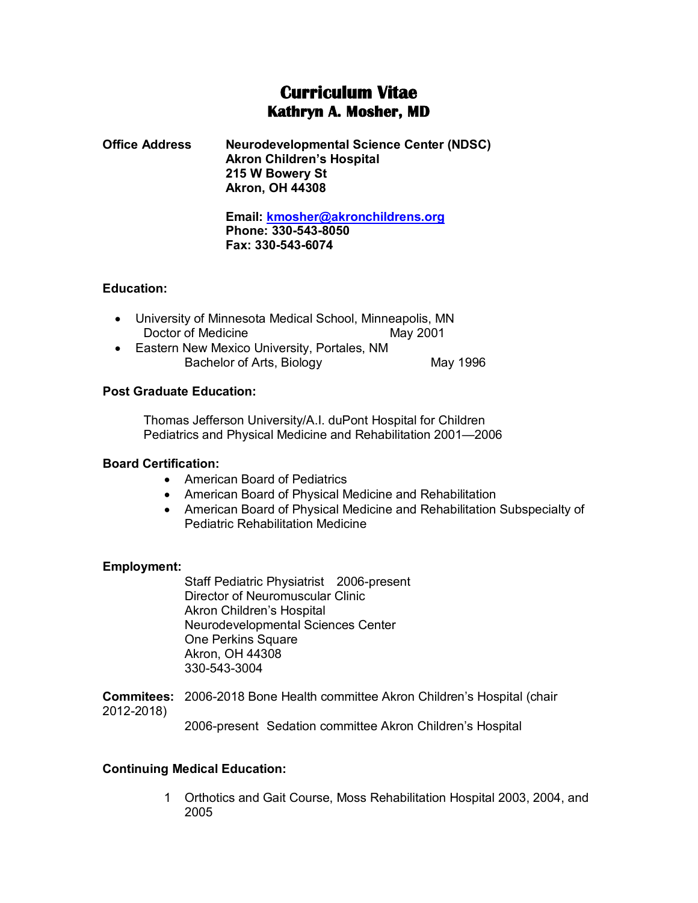# **Curriculum Vitae Kathryn A. Mosher, MD**

**Office Address Neurodevelopmental Science Center (NDSC) Akron Children's Hospital 215 W Bowery St Akron, OH 44308**

> **Email: [kmosher@akronchildrens.org](mailto:kmosher@akronchildrens.org) Phone: 330-543-8050 Fax: 330-543-6074**

# **Education:**

- University of Minnesota Medical School, Minneapolis, MN Doctor of Medicine May 2001
- Eastern New Mexico University, Portales, NM Bachelor of Arts, Biology May 1996

# **Post Graduate Education:**

Thomas Jefferson University/A.I. duPont Hospital for Children Pediatrics and Physical Medicine and Rehabilitation 2001—2006

# **Board Certification:**

- American Board of Pediatrics
- American Board of Physical Medicine and Rehabilitation
- American Board of Physical Medicine and Rehabilitation Subspecialty of Pediatric Rehabilitation Medicine

# **Employment:**

Staff Pediatric Physiatrist 2006-present Director of Neuromuscular Clinic Akron Children's Hospital Neurodevelopmental Sciences Center One Perkins Square Akron, OH 44308 330-543-3004

**Commitees:** 2006-2018 Bone Health committee Akron Children's Hospital (chair 2012-2018)

2006-present Sedation committee Akron Children's Hospital

# **Continuing Medical Education:**

1 Orthotics and Gait Course, Moss Rehabilitation Hospital 2003, 2004, and 2005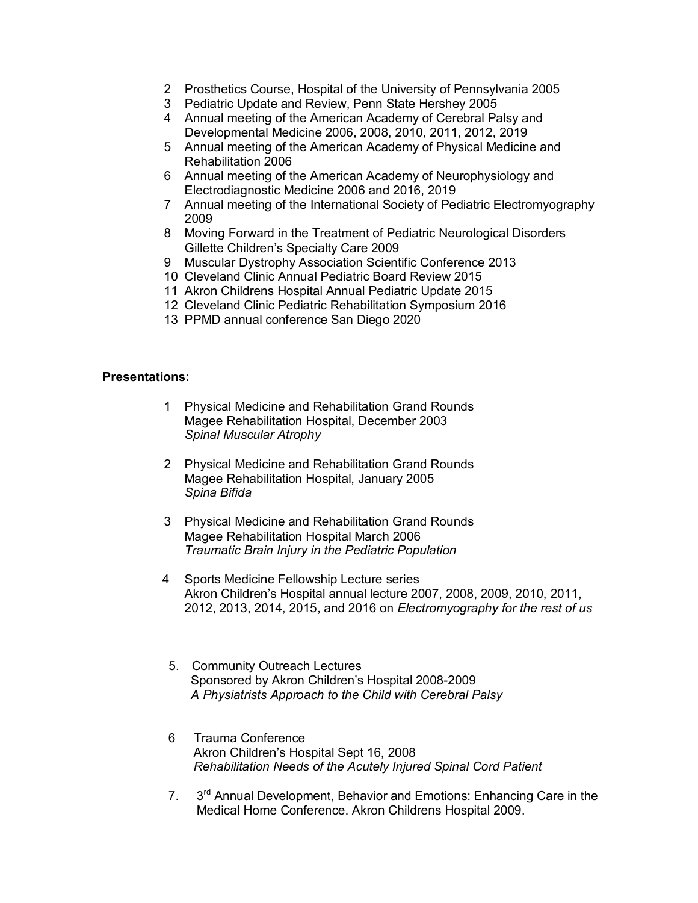- 2 Prosthetics Course, Hospital of the University of Pennsylvania 2005
- 3 Pediatric Update and Review, Penn State Hershey 2005
- 4 Annual meeting of the American Academy of Cerebral Palsy and Developmental Medicine 2006, 2008, 2010, 2011, 2012, 2019
- 5 Annual meeting of the American Academy of Physical Medicine and Rehabilitation 2006
- 6 Annual meeting of the American Academy of Neurophysiology and Electrodiagnostic Medicine 2006 and 2016, 2019
- 7 Annual meeting of the International Society of Pediatric Electromyography 2009
- 8 Moving Forward in the Treatment of Pediatric Neurological Disorders Gillette Children's Specialty Care 2009
- 9 Muscular Dystrophy Association Scientific Conference 2013
- 10 Cleveland Clinic Annual Pediatric Board Review 2015
- 11 Akron Childrens Hospital Annual Pediatric Update 2015
- 12 Cleveland Clinic Pediatric Rehabilitation Symposium 2016
- 13 PPMD annual conference San Diego 2020

### **Presentations:**

- 1 Physical Medicine and Rehabilitation Grand Rounds Magee Rehabilitation Hospital, December 2003 *Spinal Muscular Atrophy*
- 2 Physical Medicine and Rehabilitation Grand Rounds Magee Rehabilitation Hospital, January 2005 *Spina Bifida*
- 3 Physical Medicine and Rehabilitation Grand Rounds Magee Rehabilitation Hospital March 2006 *Traumatic Brain Injury in the Pediatric Population*
- 4 Sports Medicine Fellowship Lecture series Akron Children's Hospital annual lecture 2007, 2008, 2009, 2010, 2011, 2012, 2013, 2014, 2015, and 2016 on *Electromyography for the rest of us*
- 5. Community Outreach Lectures Sponsored by Akron Children's Hospital 2008-2009 *A Physiatrists Approach to the Child with Cerebral Palsy*
- 6 Trauma Conference Akron Children's Hospital Sept 16, 2008 *Rehabilitation Needs of the Acutely Injured Spinal Cord Patient*
- 7. 3<sup>rd</sup> Annual Development, Behavior and Emotions: Enhancing Care in the Medical Home Conference. Akron Childrens Hospital 2009.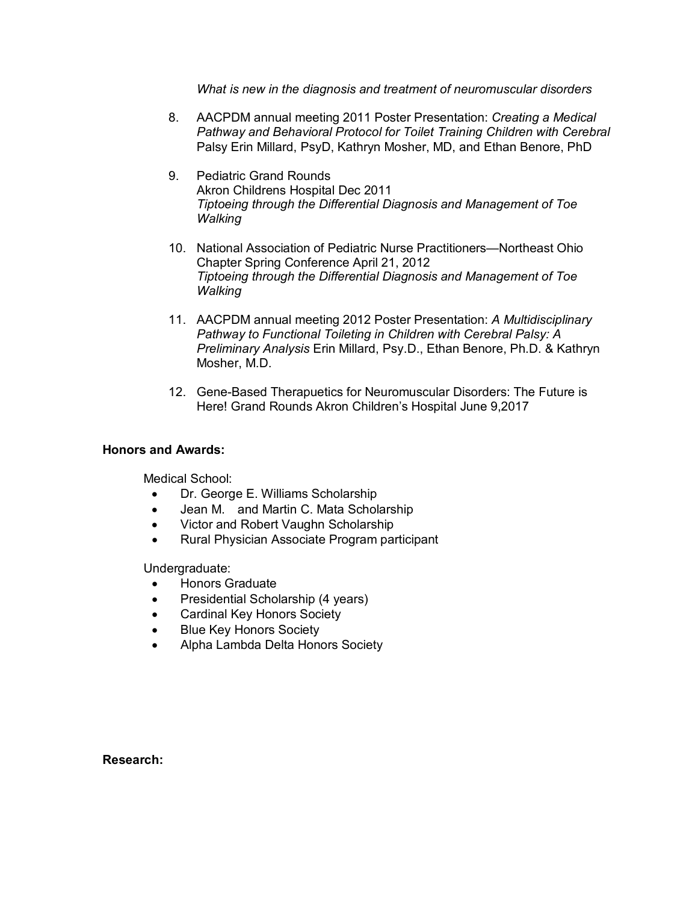*What is new in the diagnosis and treatment of neuromuscular disorders*

- 8. AACPDM annual meeting 2011 Poster Presentation: *Creating a Medical Pathway and Behavioral Protocol for Toilet Training Children with Cerebral* Palsy Erin Millard, PsyD, Kathryn Mosher, MD, and Ethan Benore, PhD
- 9. Pediatric Grand Rounds Akron Childrens Hospital Dec 2011 *Tiptoeing through the Differential Diagnosis and Management of Toe Walking*
- 10. National Association of Pediatric Nurse Practitioners—Northeast Ohio Chapter Spring Conference April 21, 2012 *Tiptoeing through the Differential Diagnosis and Management of Toe Walking*
- 11. AACPDM annual meeting 2012 Poster Presentation: *A Multidisciplinary Pathway to Functional Toileting in Children with Cerebral Palsy: A Preliminary Analysis* Erin Millard, Psy.D., Ethan Benore, Ph.D. & Kathryn Mosher, M.D.
- 12. Gene-Based Therapuetics for Neuromuscular Disorders: The Future is Here! Grand Rounds Akron Children's Hospital June 9,2017

# **Honors and Awards:**

Medical School:

- Dr. George E. Williams Scholarship
- Jean M. and Martin C. Mata Scholarship
- Victor and Robert Vaughn Scholarship
- Rural Physician Associate Program participant

Undergraduate:

- Honors Graduate
- Presidential Scholarship (4 years)
- Cardinal Key Honors Society
- Blue Key Honors Society
- Alpha Lambda Delta Honors Society

**Research:**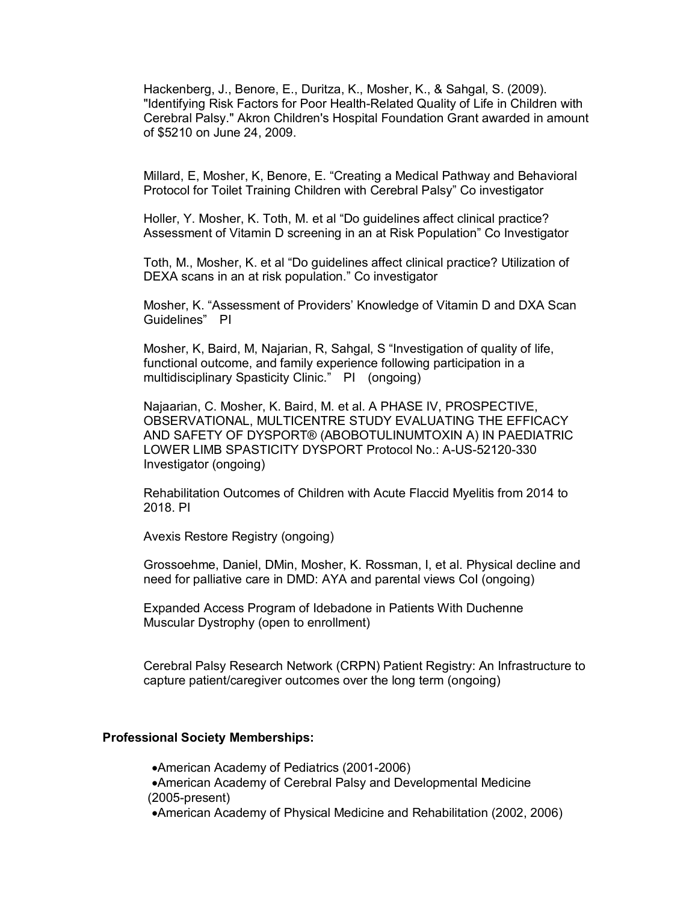Hackenberg, J., Benore, E., Duritza, K., Mosher, K., & Sahgal, S. (2009). "Identifying Risk Factors for Poor Health-Related Quality of Life in Children with Cerebral Palsy." Akron Children's Hospital Foundation Grant awarded in amount of \$5210 on June 24, 2009.

Millard, E, Mosher, K, Benore, E. "Creating a Medical Pathway and Behavioral Protocol for Toilet Training Children with Cerebral Palsy" Co investigator

Holler, Y. Mosher, K. Toth, M. et al "Do guidelines affect clinical practice? Assessment of Vitamin D screening in an at Risk Population" Co Investigator

Toth, M., Mosher, K. et al "Do guidelines affect clinical practice? Utilization of DEXA scans in an at risk population." Co investigator

Mosher, K. "Assessment of Providers' Knowledge of Vitamin D and DXA Scan Guidelines" PI

Mosher, K, Baird, M, Najarian, R, Sahgal, S "Investigation of quality of life, functional outcome, and family experience following participation in a multidisciplinary Spasticity Clinic." PI (ongoing)

Najaarian, C. Mosher, K. Baird, M. et al. A PHASE IV, PROSPECTIVE, OBSERVATIONAL, MULTICENTRE STUDY EVALUATING THE EFFICACY AND SAFETY OF DYSPORT® (ABOBOTULINUMTOXIN A) IN PAEDIATRIC LOWER LIMB SPASTICITY DYSPORT Protocol No.: A-US-52120-330 Investigator (ongoing)

Rehabilitation Outcomes of Children with Acute Flaccid Myelitis from 2014 to 2018. PI

Avexis Restore Registry (ongoing)

Grossoehme, Daniel, DMin, Mosher, K. Rossman, I, et al. Physical decline and need for palliative care in DMD: AYA and parental views CoI (ongoing)

Expanded Access Program of Idebadone in Patients With Duchenne Muscular Dystrophy (open to enrollment)

Cerebral Palsy Research Network (CRPN) Patient Registry: An Infrastructure to capture patient/caregiver outcomes over the long term (ongoing)

#### **Professional Society Memberships:**

•American Academy of Pediatrics (2001-2006) •American Academy of Cerebral Palsy and Developmental Medicine (2005-present)

•American Academy of Physical Medicine and Rehabilitation (2002, 2006)